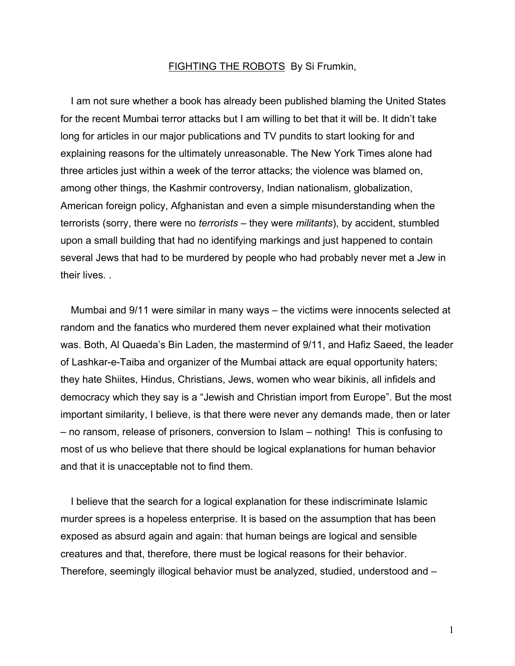## FIGHTING THE ROBOTS By Si Frumkin,

I am not sure whether a book has already been published blaming the United States for the recent Mumbai terror attacks but I am willing to bet that it will be. It didn't take long for articles in our major publications and TV pundits to start looking for and explaining reasons for the ultimately unreasonable. The New York Times alone had three articles just within a week of the terror attacks; the violence was blamed on, among other things, the Kashmir controversy, Indian nationalism, globalization, American foreign policy, Afghanistan and even a simple misunderstanding when the terrorists (sorry, there were no *terrorists* – they were *militants*), by accident, stumbled upon a small building that had no identifying markings and just happened to contain several Jews that had to be murdered by people who had probably never met a Jew in their lives. .

Mumbai and 9/11 were similar in many ways – the victims were innocents selected at random and the fanatics who murdered them never explained what their motivation was. Both, Al Quaeda's Bin Laden, the mastermind of 9/11, and Hafiz Saeed, the leader of Lashkar-e-Taiba and organizer of the Mumbai attack are equal opportunity haters; they hate Shiites, Hindus, Christians, Jews, women who wear bikinis, all infidels and democracy which they say is a "Jewish and Christian import from Europe". But the most important similarity, I believe, is that there were never any demands made, then or later – no ransom, release of prisoners, conversion to Islam – nothing! This is confusing to most of us who believe that there should be logical explanations for human behavior and that it is unacceptable not to find them.

I believe that the search for a logical explanation for these indiscriminate Islamic murder sprees is a hopeless enterprise. It is based on the assumption that has been exposed as absurd again and again: that human beings are logical and sensible creatures and that, therefore, there must be logical reasons for their behavior. Therefore, seemingly illogical behavior must be analyzed, studied, understood and –

1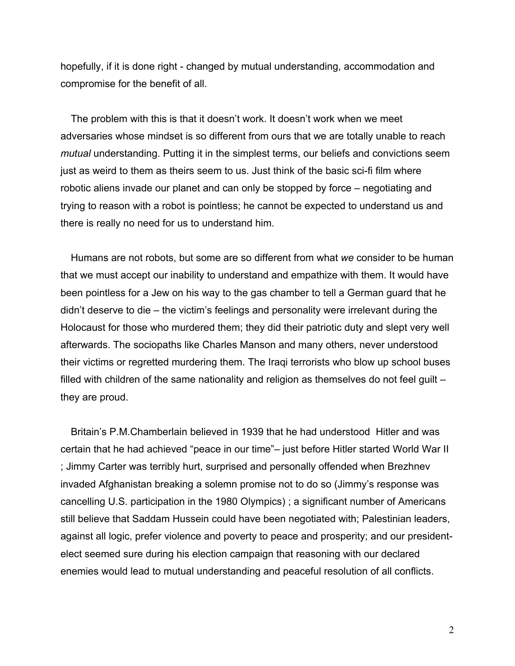hopefully, if it is done right - changed by mutual understanding, accommodation and compromise for the benefit of all.

The problem with this is that it doesn't work. It doesn't work when we meet adversaries whose mindset is so different from ours that we are totally unable to reach *mutual* understanding. Putting it in the simplest terms, our beliefs and convictions seem just as weird to them as theirs seem to us. Just think of the basic sci-fi film where robotic aliens invade our planet and can only be stopped by force – negotiating and trying to reason with a robot is pointless; he cannot be expected to understand us and there is really no need for us to understand him.

Humans are not robots, but some are so different from what *we* consider to be human that we must accept our inability to understand and empathize with them. It would have been pointless for a Jew on his way to the gas chamber to tell a German guard that he didn't deserve to die – the victim's feelings and personality were irrelevant during the Holocaust for those who murdered them; they did their patriotic duty and slept very well afterwards. The sociopaths like Charles Manson and many others, never understood their victims or regretted murdering them. The Iraqi terrorists who blow up school buses filled with children of the same nationality and religion as themselves do not feel guilt – they are proud.

Britain's P.M.Chamberlain believed in 1939 that he had understood Hitler and was certain that he had achieved "peace in our time"– just before Hitler started World War II ; Jimmy Carter was terribly hurt, surprised and personally offended when Brezhnev invaded Afghanistan breaking a solemn promise not to do so (Jimmy's response was cancelling U.S. participation in the 1980 Olympics) ; a significant number of Americans still believe that Saddam Hussein could have been negotiated with; Palestinian leaders, against all logic, prefer violence and poverty to peace and prosperity; and our presidentelect seemed sure during his election campaign that reasoning with our declared enemies would lead to mutual understanding and peaceful resolution of all conflicts.